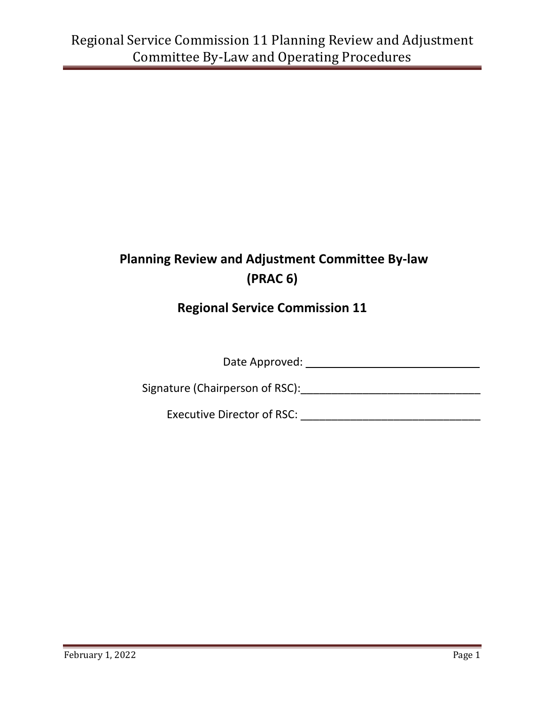# **Planning Review and Adjustment Committee By-law (PRAC 6)**

# **Regional Service Commission 11**

Date Approved: \_\_\_\_\_\_\_\_\_\_\_\_\_\_\_\_\_\_ \_\_\_\_\_

Signature (Chairperson of RSC):\_\_\_\_\_\_\_\_\_\_\_\_\_\_\_\_\_\_\_\_\_\_\_\_\_\_\_\_\_

Executive Director of RSC: \_\_\_\_\_\_\_\_\_\_\_\_\_\_\_\_\_\_\_\_\_\_\_\_\_\_\_\_\_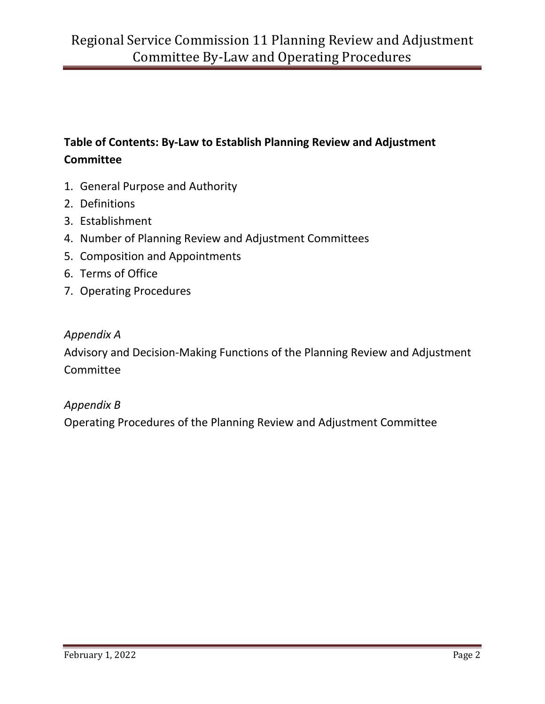## **Table of Contents: By-Law to Establish Planning Review and Adjustment Committee**

- 1. General Purpose and Authority
- 2. Definitions
- 3. Establishment
- 4. Number of Planning Review and Adjustment Committees
- 5. Composition and Appointments
- 6. Terms of Office
- 7. Operating Procedures

#### *Appendix A*

Advisory and Decision-Making Functions of the Planning Review and Adjustment Committee

#### *Appendix B*

Operating Procedures of the Planning Review and Adjustment Committee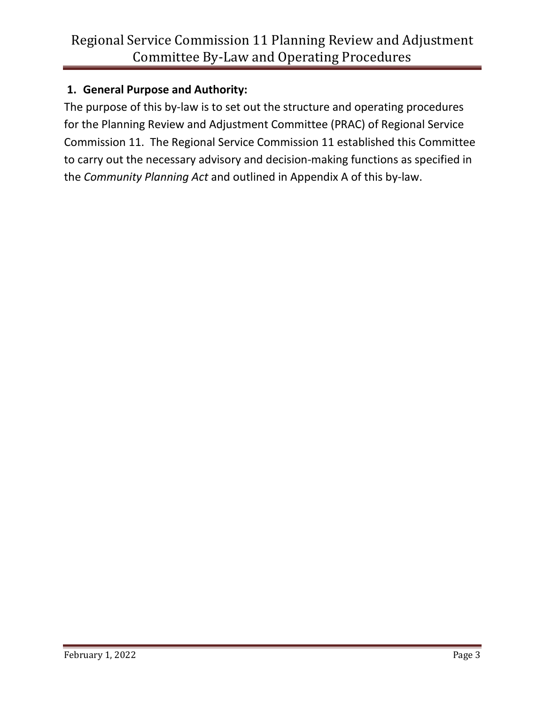### **1. General Purpose and Authority:**

The purpose of this by-law is to set out the structure and operating procedures for the Planning Review and Adjustment Committee (PRAC) of Regional Service Commission 11. The Regional Service Commission 11 established this Committee to carry out the necessary advisory and decision-making functions as specified in the *Community Planning Act* and outlined in Appendix A of this by-law.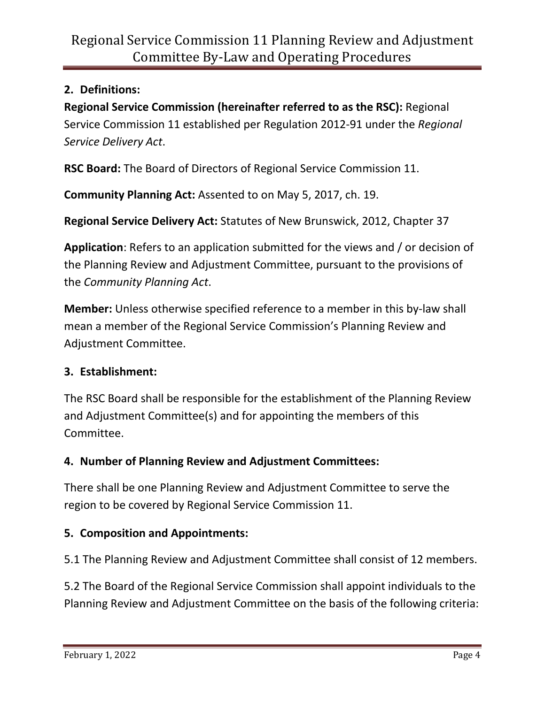### **2. Definitions:**

**Regional Service Commission (hereinafter referred to as the RSC):** Regional Service Commission 11 established per Regulation 2012-91 under the *Regional Service Delivery Act*.

**RSC Board:** The Board of Directors of Regional Service Commission 11.

**Community Planning Act:** Assented to on May 5, 2017, ch. 19.

**Regional Service Delivery Act:** Statutes of New Brunswick, 2012, Chapter 37

**Application**: Refers to an application submitted for the views and / or decision of the Planning Review and Adjustment Committee, pursuant to the provisions of the *Community Planning Act*.

**Member:** Unless otherwise specified reference to a member in this by-law shall mean a member of the Regional Service Commission's Planning Review and Adjustment Committee.

#### **3. Establishment:**

The RSC Board shall be responsible for the establishment of the Planning Review and Adjustment Committee(s) and for appointing the members of this Committee.

#### **4. Number of Planning Review and Adjustment Committees:**

There shall be one Planning Review and Adjustment Committee to serve the region to be covered by Regional Service Commission 11.

#### **5. Composition and Appointments:**

5.1 The Planning Review and Adjustment Committee shall consist of 12 members.

5.2 The Board of the Regional Service Commission shall appoint individuals to the Planning Review and Adjustment Committee on the basis of the following criteria: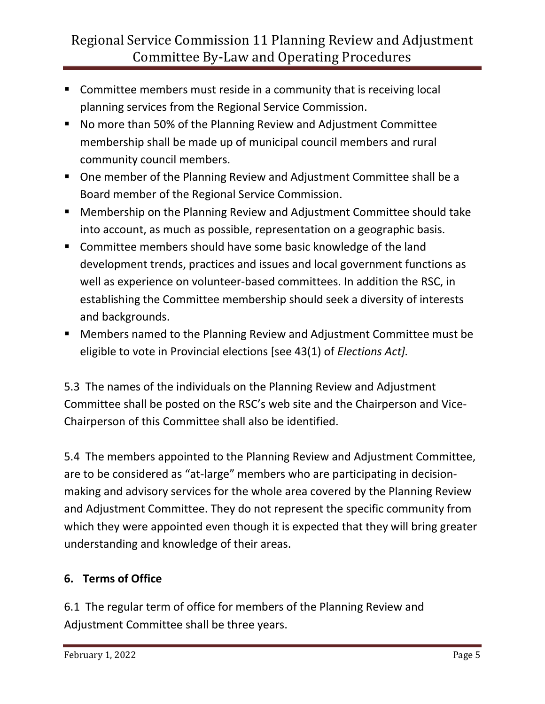- **Committee members must reside in a community that is receiving local** planning services from the Regional Service Commission.
- No more than 50% of the Planning Review and Adjustment Committee membership shall be made up of municipal council members and rural community council members.
- One member of the Planning Review and Adjustment Committee shall be a Board member of the Regional Service Commission.
- Membership on the Planning Review and Adjustment Committee should take into account, as much as possible, representation on a geographic basis.
- **E** Committee members should have some basic knowledge of the land development trends, practices and issues and local government functions as well as experience on volunteer-based committees. In addition the RSC, in establishing the Committee membership should seek a diversity of interests and backgrounds.
- Members named to the Planning Review and Adjustment Committee must be eligible to vote in Provincial elections [see 43(1) of *Elections Act].*

5.3 The names of the individuals on the Planning Review and Adjustment Committee shall be posted on the RSC's web site and the Chairperson and Vice-Chairperson of this Committee shall also be identified.

5.4 The members appointed to the Planning Review and Adjustment Committee, are to be considered as "at-large" members who are participating in decisionmaking and advisory services for the whole area covered by the Planning Review and Adjustment Committee. They do not represent the specific community from which they were appointed even though it is expected that they will bring greater understanding and knowledge of their areas.

### **6. Terms of Office**

6.1 The regular term of office for members of the Planning Review and Adjustment Committee shall be three years.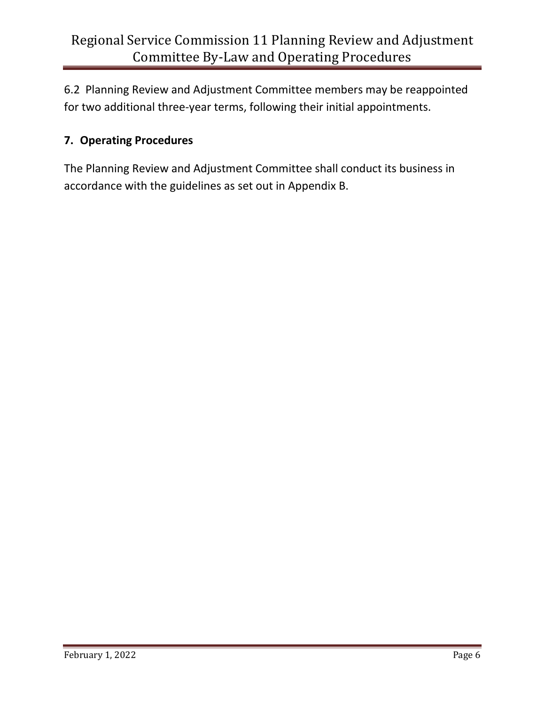6.2 Planning Review and Adjustment Committee members may be reappointed for two additional three-year terms, following their initial appointments.

## **7. Operating Procedures**

The Planning Review and Adjustment Committee shall conduct its business in accordance with the guidelines as set out in Appendix B.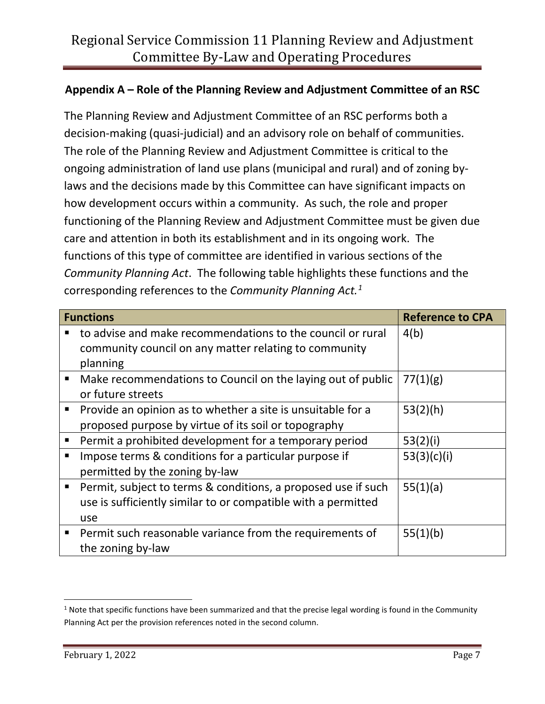### **Appendix A – Role of the Planning Review and Adjustment Committee of an RSC**

The Planning Review and Adjustment Committee of an RSC performs both a decision-making (quasi-judicial) and an advisory role on behalf of communities. The role of the Planning Review and Adjustment Committee is critical to the ongoing administration of land use plans (municipal and rural) and of zoning bylaws and the decisions made by this Committee can have significant impacts on how development occurs within a community. As such, the role and proper functioning of the Planning Review and Adjustment Committee must be given due care and attention in both its establishment and in its ongoing work. The functions of this type of committee are identified in various sections of the *Community Planning Act*. The following table highlights these functions and the corresponding references to the *Community Planning Act.[1](#page-6-0)*

| <b>Functions</b> |                                                               | <b>Reference to CPA</b> |
|------------------|---------------------------------------------------------------|-------------------------|
|                  | to advise and make recommendations to the council or rural    | 4(b)                    |
|                  | community council on any matter relating to community         |                         |
|                  | planning                                                      |                         |
| $\blacksquare$   | Make recommendations to Council on the laying out of public   | 77(1)(g)                |
|                  | or future streets                                             |                         |
|                  | Provide an opinion as to whether a site is unsuitable for a   | 53(2)(h)                |
|                  | proposed purpose by virtue of its soil or topography          |                         |
| п                | Permit a prohibited development for a temporary period        | 53(2)(i)                |
|                  | Impose terms & conditions for a particular purpose if         | 53(3)(c)(i)             |
|                  | permitted by the zoning by-law                                |                         |
| $\blacksquare$   | Permit, subject to terms & conditions, a proposed use if such | 55(1)(a)                |
|                  | use is sufficiently similar to or compatible with a permitted |                         |
|                  | use                                                           |                         |
| $\blacksquare$   | Permit such reasonable variance from the requirements of      | 55(1)(b)                |
|                  | the zoning by-law                                             |                         |

<span id="page-6-0"></span> $1$  Note that specific functions have been summarized and that the precise legal wording is found in the Community Planning Act per the provision references noted in the second column.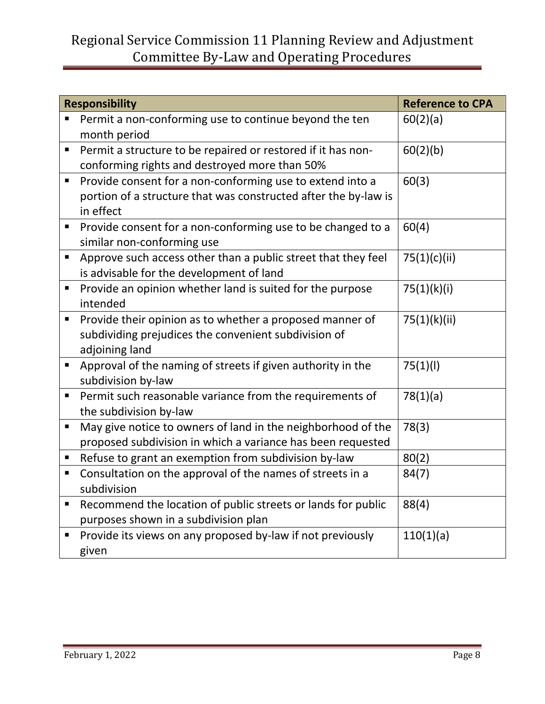| <b>Responsibility</b> |                                                                 | <b>Reference to CPA</b> |
|-----------------------|-----------------------------------------------------------------|-------------------------|
|                       | Permit a non-conforming use to continue beyond the ten          | 60(2)(a)                |
|                       | month period                                                    |                         |
| Ξ                     | Permit a structure to be repaired or restored if it has non-    | 60(2)(b)                |
|                       | conforming rights and destroyed more than 50%                   |                         |
| Ξ                     | Provide consent for a non-conforming use to extend into a       | 60(3)                   |
|                       | portion of a structure that was constructed after the by-law is |                         |
|                       | in effect                                                       |                         |
| п                     | Provide consent for a non-conforming use to be changed to a     | 60(4)                   |
|                       | similar non-conforming use                                      |                         |
| Ξ                     | Approve such access other than a public street that they feel   | 75(1)(c)(ii)            |
|                       | is advisable for the development of land                        |                         |
| П                     | Provide an opinion whether land is suited for the purpose       | 75(1)(k)(i)             |
|                       | intended                                                        |                         |
| П                     | Provide their opinion as to whether a proposed manner of        | 75(1)(k)(ii)            |
|                       | subdividing prejudices the convenient subdivision of            |                         |
|                       | adjoining land                                                  |                         |
| $\blacksquare$        | Approval of the naming of streets if given authority in the     | 75(1)(1)                |
|                       | subdivision by-law                                              |                         |
| Ξ                     | Permit such reasonable variance from the requirements of        | 78(1)(a)                |
|                       | the subdivision by-law                                          |                         |
| Ξ                     | May give notice to owners of land in the neighborhood of the    | 78(3)                   |
|                       | proposed subdivision in which a variance has been requested     |                         |
| Ξ                     | Refuse to grant an exemption from subdivision by-law            | 80(2)                   |
| Ξ                     | Consultation on the approval of the names of streets in a       | 84(7)                   |
|                       | subdivision                                                     |                         |
| п                     | Recommend the location of public streets or lands for public    | 88(4)                   |
|                       | purposes shown in a subdivision plan                            |                         |
| п                     | Provide its views on any proposed by-law if not previously      | 110(1)(a)               |
|                       | given                                                           |                         |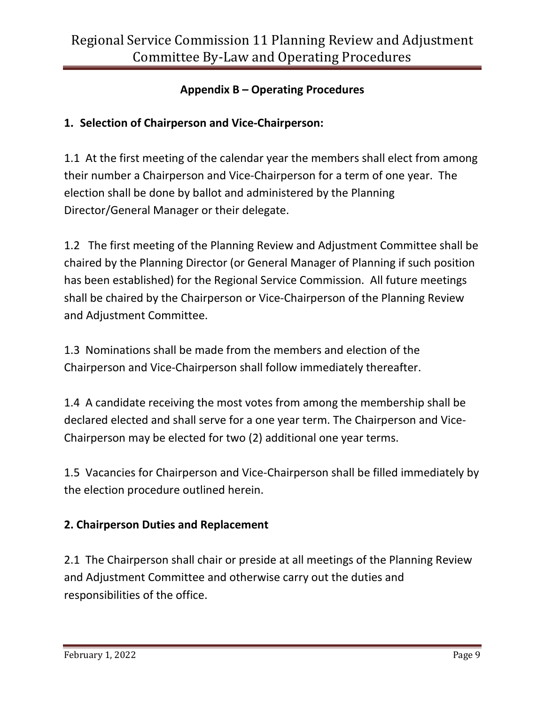### **Appendix B – Operating Procedures**

## **1. Selection of Chairperson and Vice-Chairperson:**

1.1 At the first meeting of the calendar year the members shall elect from among their number a Chairperson and Vice-Chairperson for a term of one year. The election shall be done by ballot and administered by the Planning Director/General Manager or their delegate.

1.2 The first meeting of the Planning Review and Adjustment Committee shall be chaired by the Planning Director (or General Manager of Planning if such position has been established) for the Regional Service Commission. All future meetings shall be chaired by the Chairperson or Vice-Chairperson of the Planning Review and Adjustment Committee.

1.3 Nominations shall be made from the members and election of the Chairperson and Vice-Chairperson shall follow immediately thereafter.

1.4 A candidate receiving the most votes from among the membership shall be declared elected and shall serve for a one year term. The Chairperson and Vice-Chairperson may be elected for two (2) additional one year terms.

1.5 Vacancies for Chairperson and Vice-Chairperson shall be filled immediately by the election procedure outlined herein.

### **2. Chairperson Duties and Replacement**

2.1 The Chairperson shall chair or preside at all meetings of the Planning Review and Adjustment Committee and otherwise carry out the duties and responsibilities of the office.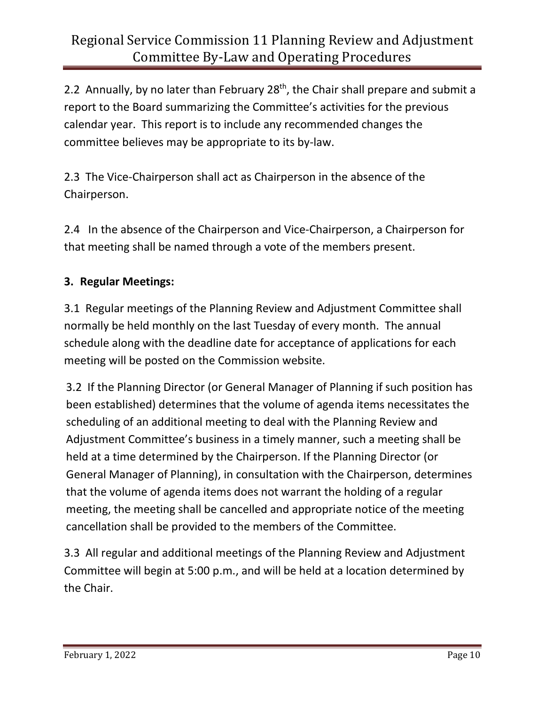2.2 Annually, by no later than February  $28<sup>th</sup>$ , the Chair shall prepare and submit a report to the Board summarizing the Committee's activities for the previous calendar year. This report is to include any recommended changes the committee believes may be appropriate to its by-law.

2.3 The Vice-Chairperson shall act as Chairperson in the absence of the Chairperson.

2.4 In the absence of the Chairperson and Vice-Chairperson, a Chairperson for that meeting shall be named through a vote of the members present.

## **3. Regular Meetings:**

3.1 Regular meetings of the Planning Review and Adjustment Committee shall normally be held monthly on the last Tuesday of every month. The annual schedule along with the deadline date for acceptance of applications for each meeting will be posted on the Commission website.

3.2 If the Planning Director (or General Manager of Planning if such position has been established) determines that the volume of agenda items necessitates the scheduling of an additional meeting to deal with the Planning Review and Adjustment Committee's business in a timely manner, such a meeting shall be held at a time determined by the Chairperson. If the Planning Director (or General Manager of Planning), in consultation with the Chairperson, determines that the volume of agenda items does not warrant the holding of a regular meeting, the meeting shall be cancelled and appropriate notice of the meeting cancellation shall be provided to the members of the Committee.

3.3 All regular and additional meetings of the Planning Review and Adjustment Committee will begin at 5:00 p.m., and will be held at a location determined by the Chair.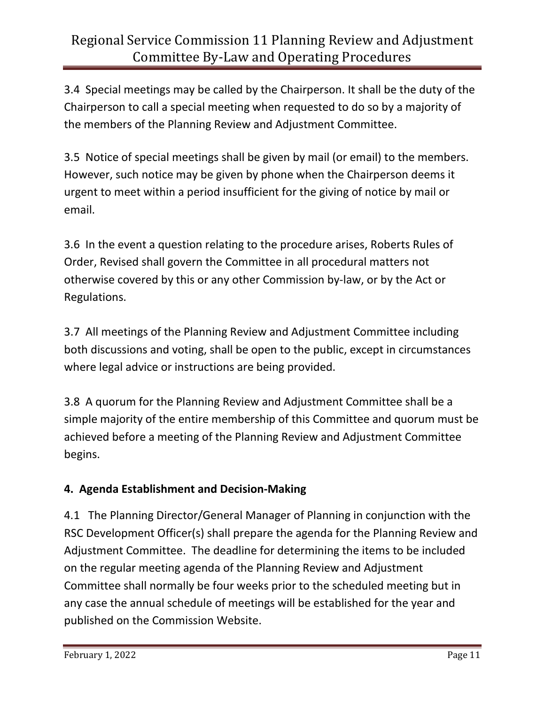3.4 Special meetings may be called by the Chairperson. It shall be the duty of the Chairperson to call a special meeting when requested to do so by a majority of the members of the Planning Review and Adjustment Committee.

3.5 Notice of special meetings shall be given by mail (or email) to the members. However, such notice may be given by phone when the Chairperson deems it urgent to meet within a period insufficient for the giving of notice by mail or email.

3.6 In the event a question relating to the procedure arises, Roberts Rules of Order, Revised shall govern the Committee in all procedural matters not otherwise covered by this or any other Commission by-law, or by the Act or Regulations.

3.7 All meetings of the Planning Review and Adjustment Committee including both discussions and voting, shall be open to the public, except in circumstances where legal advice or instructions are being provided.

3.8 A quorum for the Planning Review and Adjustment Committee shall be a simple majority of the entire membership of this Committee and quorum must be achieved before a meeting of the Planning Review and Adjustment Committee begins.

## **4. Agenda Establishment and Decision-Making**

4.1 The Planning Director/General Manager of Planning in conjunction with the RSC Development Officer(s) shall prepare the agenda for the Planning Review and Adjustment Committee. The deadline for determining the items to be included on the regular meeting agenda of the Planning Review and Adjustment Committee shall normally be four weeks prior to the scheduled meeting but in any case the annual schedule of meetings will be established for the year and published on the Commission Website.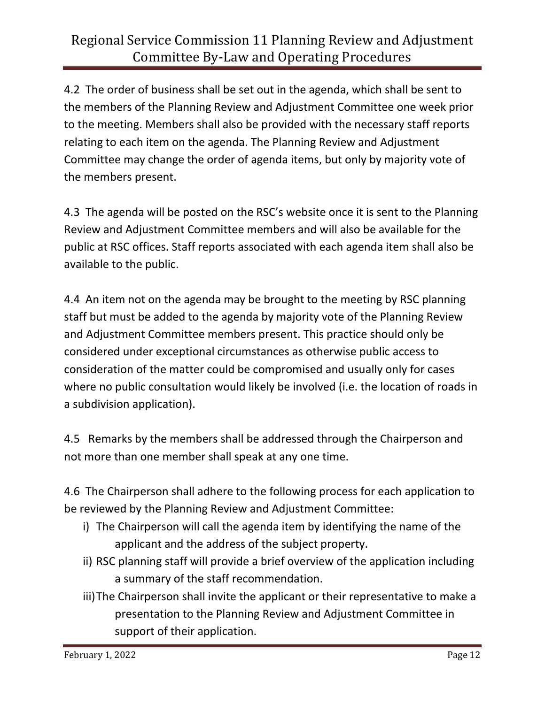4.2 The order of business shall be set out in the agenda, which shall be sent to the members of the Planning Review and Adjustment Committee one week prior to the meeting. Members shall also be provided with the necessary staff reports relating to each item on the agenda. The Planning Review and Adjustment Committee may change the order of agenda items, but only by majority vote of the members present.

4.3 The agenda will be posted on the RSC's website once it is sent to the Planning Review and Adjustment Committee members and will also be available for the public at RSC offices. Staff reports associated with each agenda item shall also be available to the public.

4.4 An item not on the agenda may be brought to the meeting by RSC planning staff but must be added to the agenda by majority vote of the Planning Review and Adjustment Committee members present. This practice should only be considered under exceptional circumstances as otherwise public access to consideration of the matter could be compromised and usually only for cases where no public consultation would likely be involved (i.e. the location of roads in a subdivision application).

4.5 Remarks by the members shall be addressed through the Chairperson and not more than one member shall speak at any one time.

4.6 The Chairperson shall adhere to the following process for each application to be reviewed by the Planning Review and Adjustment Committee:

- i) The Chairperson will call the agenda item by identifying the name of the applicant and the address of the subject property.
- ii) RSC planning staff will provide a brief overview of the application including a summary of the staff recommendation.
- iii)The Chairperson shall invite the applicant or their representative to make a presentation to the Planning Review and Adjustment Committee in support of their application.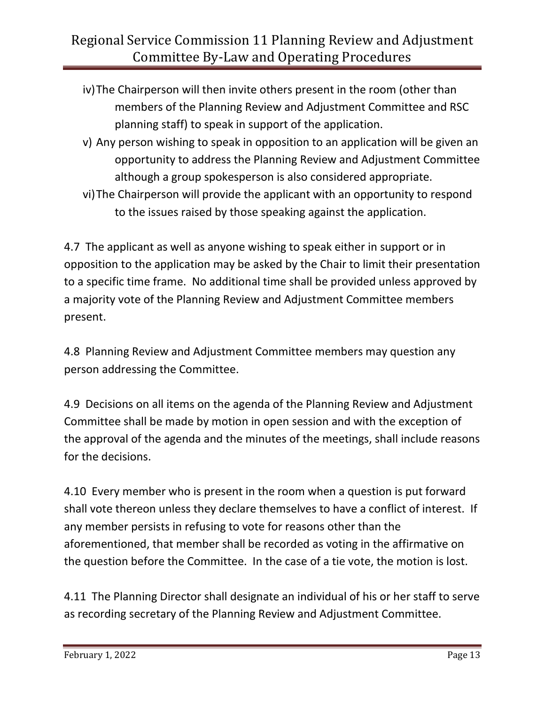- iv)The Chairperson will then invite others present in the room (other than members of the Planning Review and Adjustment Committee and RSC planning staff) to speak in support of the application.
- v) Any person wishing to speak in opposition to an application will be given an opportunity to address the Planning Review and Adjustment Committee although a group spokesperson is also considered appropriate.
- vi)The Chairperson will provide the applicant with an opportunity to respond to the issues raised by those speaking against the application.

4.7 The applicant as well as anyone wishing to speak either in support or in opposition to the application may be asked by the Chair to limit their presentation to a specific time frame. No additional time shall be provided unless approved by a majority vote of the Planning Review and Adjustment Committee members present.

4.8 Planning Review and Adjustment Committee members may question any person addressing the Committee.

4.9 Decisions on all items on the agenda of the Planning Review and Adjustment Committee shall be made by motion in open session and with the exception of the approval of the agenda and the minutes of the meetings, shall include reasons for the decisions.

4.10 Every member who is present in the room when a question is put forward shall vote thereon unless they declare themselves to have a conflict of interest. If any member persists in refusing to vote for reasons other than the aforementioned, that member shall be recorded as voting in the affirmative on the question before the Committee. In the case of a tie vote, the motion is lost.

4.11 The Planning Director shall designate an individual of his or her staff to serve as recording secretary of the Planning Review and Adjustment Committee.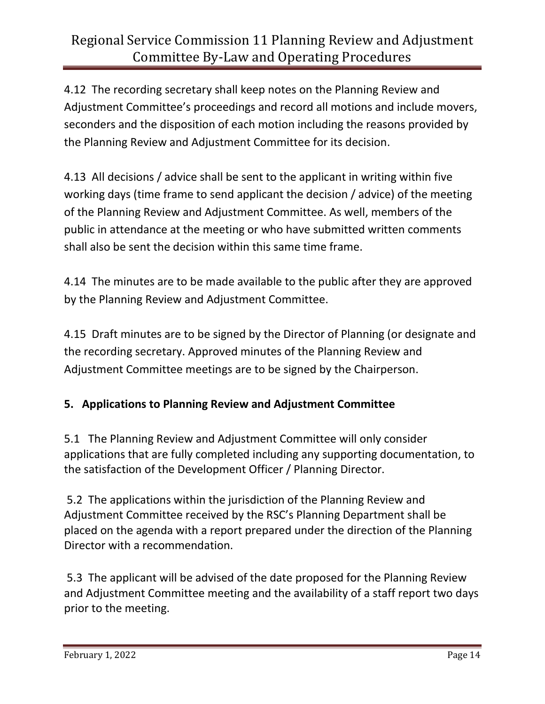4.12 The recording secretary shall keep notes on the Planning Review and Adjustment Committee's proceedings and record all motions and include movers, seconders and the disposition of each motion including the reasons provided by the Planning Review and Adjustment Committee for its decision.

4.13 All decisions / advice shall be sent to the applicant in writing within five working days (time frame to send applicant the decision / advice) of the meeting of the Planning Review and Adjustment Committee. As well, members of the public in attendance at the meeting or who have submitted written comments shall also be sent the decision within this same time frame.

4.14 The minutes are to be made available to the public after they are approved by the Planning Review and Adjustment Committee.

4.15 Draft minutes are to be signed by the Director of Planning (or designate and the recording secretary. Approved minutes of the Planning Review and Adjustment Committee meetings are to be signed by the Chairperson.

## **5. Applications to Planning Review and Adjustment Committee**

5.1 The Planning Review and Adjustment Committee will only consider applications that are fully completed including any supporting documentation, to the satisfaction of the Development Officer / Planning Director.

5.2 The applications within the jurisdiction of the Planning Review and Adjustment Committee received by the RSC's Planning Department shall be placed on the agenda with a report prepared under the direction of the Planning Director with a recommendation.

5.3 The applicant will be advised of the date proposed for the Planning Review and Adjustment Committee meeting and the availability of a staff report two days prior to the meeting.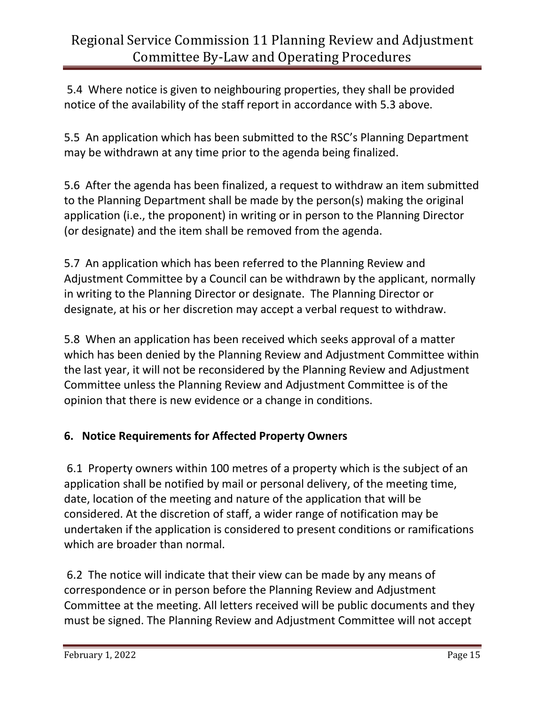5.4 Where notice is given to neighbouring properties, they shall be provided notice of the availability of the staff report in accordance with 5.3 above.

5.5 An application which has been submitted to the RSC's Planning Department may be withdrawn at any time prior to the agenda being finalized.

5.6 After the agenda has been finalized, a request to withdraw an item submitted to the Planning Department shall be made by the person(s) making the original application (i.e., the proponent) in writing or in person to the Planning Director (or designate) and the item shall be removed from the agenda.

5.7 An application which has been referred to the Planning Review and Adjustment Committee by a Council can be withdrawn by the applicant, normally in writing to the Planning Director or designate. The Planning Director or designate, at his or her discretion may accept a verbal request to withdraw.

5.8 When an application has been received which seeks approval of a matter which has been denied by the Planning Review and Adjustment Committee within the last year, it will not be reconsidered by the Planning Review and Adjustment Committee unless the Planning Review and Adjustment Committee is of the opinion that there is new evidence or a change in conditions.

### **6. Notice Requirements for Affected Property Owners**

6.1 Property owners within 100 metres of a property which is the subject of an application shall be notified by mail or personal delivery, of the meeting time, date, location of the meeting and nature of the application that will be considered. At the discretion of staff, a wider range of notification may be undertaken if the application is considered to present conditions or ramifications which are broader than normal.

6.2 The notice will indicate that their view can be made by any means of correspondence or in person before the Planning Review and Adjustment Committee at the meeting. All letters received will be public documents and they must be signed. The Planning Review and Adjustment Committee will not accept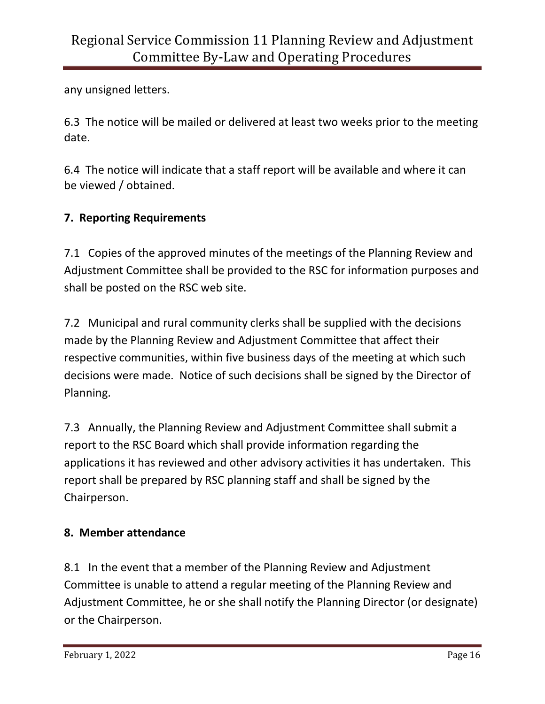any unsigned letters.

6.3 The notice will be mailed or delivered at least two weeks prior to the meeting date.

6.4 The notice will indicate that a staff report will be available and where it can be viewed / obtained.

## **7. Reporting Requirements**

7.1 Copies of the approved minutes of the meetings of the Planning Review and Adjustment Committee shall be provided to the RSC for information purposes and shall be posted on the RSC web site.

7.2 Municipal and rural community clerks shall be supplied with the decisions made by the Planning Review and Adjustment Committee that affect their respective communities, within five business days of the meeting at which such decisions were made. Notice of such decisions shall be signed by the Director of Planning.

7.3 Annually, the Planning Review and Adjustment Committee shall submit a report to the RSC Board which shall provide information regarding the applications it has reviewed and other advisory activities it has undertaken. This report shall be prepared by RSC planning staff and shall be signed by the Chairperson.

## **8. Member attendance**

8.1 In the event that a member of the Planning Review and Adjustment Committee is unable to attend a regular meeting of the Planning Review and Adjustment Committee, he or she shall notify the Planning Director (or designate) or the Chairperson.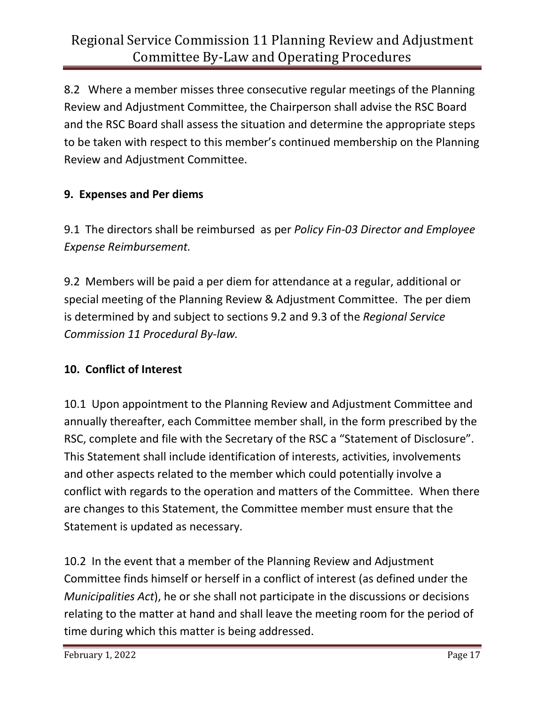8.2 Where a member misses three consecutive regular meetings of the Planning Review and Adjustment Committee, the Chairperson shall advise the RSC Board and the RSC Board shall assess the situation and determine the appropriate steps to be taken with respect to this member's continued membership on the Planning Review and Adjustment Committee.

## **9. Expenses and Per diems**

9.1 The directors shall be reimbursed as per *Policy Fin-03 Director and Employee Expense Reimbursement.*

9.2 Members will be paid a per diem for attendance at a regular, additional or special meeting of the Planning Review & Adjustment Committee. The per diem is determined by and subject to sections 9.2 and 9.3 of the *Regional Service Commission 11 Procedural By-law.*

#### **10. Conflict of Interest**

10.1 Upon appointment to the Planning Review and Adjustment Committee and annually thereafter, each Committee member shall, in the form prescribed by the RSC, complete and file with the Secretary of the RSC a "Statement of Disclosure". This Statement shall include identification of interests, activities, involvements and other aspects related to the member which could potentially involve a conflict with regards to the operation and matters of the Committee. When there are changes to this Statement, the Committee member must ensure that the Statement is updated as necessary.

10.2 In the event that a member of the Planning Review and Adjustment Committee finds himself or herself in a conflict of interest (as defined under the *Municipalities Act*), he or she shall not participate in the discussions or decisions relating to the matter at hand and shall leave the meeting room for the period of time during which this matter is being addressed.